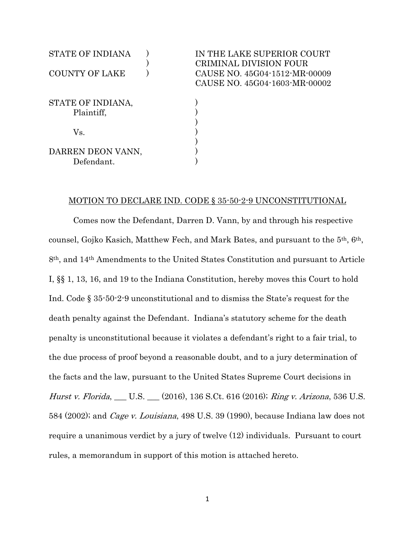| <b>STATE OF INDIANA</b>         | IN THE LAKE SUPERIOR COURT<br>CRIMINAL DIVISION FOUR           |
|---------------------------------|----------------------------------------------------------------|
| <b>COUNTY OF LAKE</b>           | CAUSE NO. 45G04-1512-MR-00009<br>CAUSE NO. 45G04-1603-MR-00002 |
| STATE OF INDIANA,<br>Plaintiff, |                                                                |
|                                 |                                                                |
| Vs.                             |                                                                |
|                                 |                                                                |
| DARREN DEON VANN,               |                                                                |
| Defendant.                      |                                                                |

### MOTION TO DECLARE IND. CODE § 35-50-2-9 UNCONSTITUTIONAL

Comes now the Defendant, Darren D. Vann, by and through his respective counsel, Gojko Kasich, Matthew Fech, and Mark Bates, and pursuant to the 5th, 6th, 8th, and 14th Amendments to the United States Constitution and pursuant to Article I, §§ 1, 13, 16, and 19 to the Indiana Constitution, hereby moves this Court to hold Ind. Code § 35-50-2-9 unconstitutional and to dismiss the State's request for the death penalty against the Defendant. Indiana's statutory scheme for the death penalty is unconstitutional because it violates a defendant's right to a fair trial, to the due process of proof beyond a reasonable doubt, and to a jury determination of the facts and the law, pursuant to the United States Supreme Court decisions in Hurst v. Florida, \_\_ U.S. \_\_ (2016), 136 S.Ct. 616 (2016); Ring v. Arizona, 536 U.S. 584 (2002); and Cage v. Louisiana, 498 U.S. 39 (1990), because Indiana law does not require a unanimous verdict by a jury of twelve (12) individuals. Pursuant to court rules, a memorandum in support of this motion is attached hereto.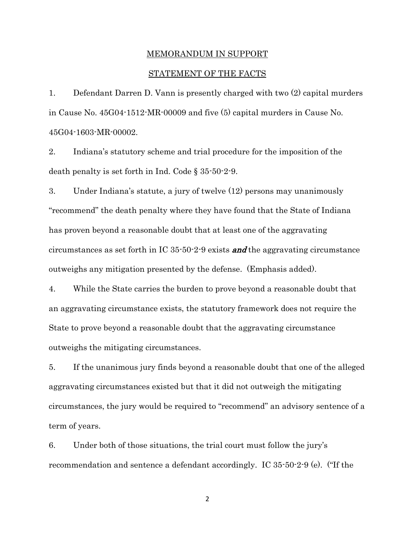## MEMORANDUM IN SUPPORT

### STATEMENT OF THE FACTS

1. Defendant Darren D. Vann is presently charged with two (2) capital murders in Cause No. 45G04-1512-MR-00009 and five (5) capital murders in Cause No. 45G04-1603-MR-00002.

2. Indiana's statutory scheme and trial procedure for the imposition of the death penalty is set forth in Ind. Code § 35-50-2-9.

3. Under Indiana's statute, a jury of twelve (12) persons may unanimously "recommend" the death penalty where they have found that the State of Indiana has proven beyond a reasonable doubt that at least one of the aggravating circumstances as set forth in IC  $35-50-2-9$  exists **and** the aggravating circumstance outweighs any mitigation presented by the defense. (Emphasis added).

4. While the State carries the burden to prove beyond a reasonable doubt that an aggravating circumstance exists, the statutory framework does not require the State to prove beyond a reasonable doubt that the aggravating circumstance outweighs the mitigating circumstances.

5. If the unanimous jury finds beyond a reasonable doubt that one of the alleged aggravating circumstances existed but that it did not outweigh the mitigating circumstances, the jury would be required to "recommend" an advisory sentence of a term of years.

6. Under both of those situations, the trial court must follow the jury's recommendation and sentence a defendant accordingly. IC 35-50-2-9 (e). ("If the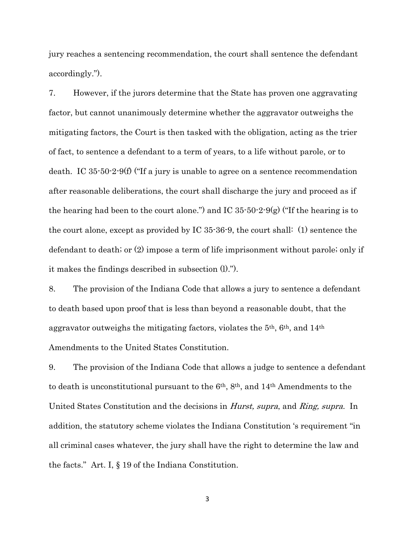jury reaches a sentencing recommendation, the court shall sentence the defendant accordingly.").

7. However, if the jurors determine that the State has proven one aggravating factor, but cannot unanimously determine whether the aggravator outweighs the mitigating factors, the Court is then tasked with the obligation, acting as the trier of fact, to sentence a defendant to a term of years, to a life without parole, or to death. IC 35-50-2-9(f) ("If a jury is unable to agree on a sentence recommendation after reasonable deliberations, the court shall discharge the jury and proceed as if the hearing had been to the court alone.") and IC  $35\cdot50\cdot2\cdot9(g)$  ("If the hearing is to the court alone, except as provided by IC 35-36-9, the court shall: (1) sentence the defendant to death; or (2) impose a term of life imprisonment without parole; only if it makes the findings described in subsection (l).").

8. The provision of the Indiana Code that allows a jury to sentence a defendant to death based upon proof that is less than beyond a reasonable doubt, that the aggravator outweighs the mitigating factors, violates the 5th, 6th, and 14th Amendments to the United States Constitution.

9. The provision of the Indiana Code that allows a judge to sentence a defendant to death is unconstitutional pursuant to the 6th, 8th, and 14th Amendments to the United States Constitution and the decisions in Hurst, supra, and Ring, supra. In addition, the statutory scheme violates the Indiana Constitution 's requirement "in all criminal cases whatever, the jury shall have the right to determine the law and the facts." Art. I, § 19 of the Indiana Constitution.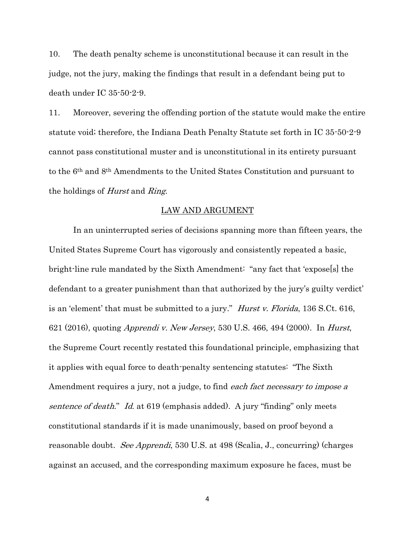10. The death penalty scheme is unconstitutional because it can result in the judge, not the jury, making the findings that result in a defendant being put to death under IC 35-50-2-9.

11. Moreover, severing the offending portion of the statute would make the entire statute void; therefore, the Indiana Death Penalty Statute set forth in IC 35-50-2-9 cannot pass constitutional muster and is unconstitutional in its entirety pursuant to the 6th and 8th Amendments to the United States Constitution and pursuant to the holdings of Hurst and Ring.

### LAW AND ARGUMENT

In an uninterrupted series of decisions spanning more than fifteen years, the United States Supreme Court has vigorously and consistently repeated a basic, bright-line rule mandated by the Sixth Amendment: "any fact that 'expose[s] the defendant to a greater punishment than that authorized by the jury's guilty verdict' is an 'element' that must be submitted to a jury." *Hurst v. Florida*, 136 S.Ct. 616, 621 (2016), quoting Apprendi v. New Jersey, 530 U.S. 466, 494 (2000). In Hurst, the Supreme Court recently restated this foundational principle, emphasizing that it applies with equal force to death-penalty sentencing statutes: "The Sixth Amendment requires a jury, not a judge, to find *each fact necessary to impose a* sentence of death." Id. at 619 (emphasis added). A jury "finding" only meets constitutional standards if it is made unanimously, based on proof beyond a reasonable doubt. See Apprendi, 530 U.S. at 498 (Scalia, J., concurring) (charges against an accused, and the corresponding maximum exposure he faces, must be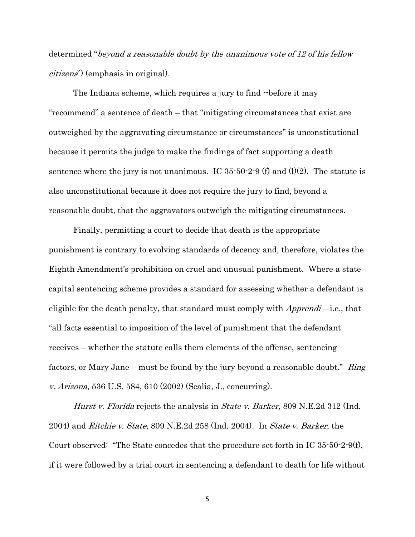determined "beyond a reasonable doubt by the unanimous vote of 12 of his fellow citizens") (emphasis in original).

The Indiana scheme, which requires a jury to find --before it may "recommend" a sentence of death – that "mitigating circumstances that exist are outweighed by the aggravating circumstance or circumstances" is unconstitutional because it permits the judge to make the findings of fact supporting a death sentence where the jury is not unanimous. IC  $35\text{-}50\text{-}2\text{-}9$  (f) and (l)(2). The statute is also unconstitutional because it does not require the jury to find, beyond a reasonable doubt, that the aggravators outweigh the mitigating circumstances.

Finally, permitting a court to decide that death is the appropriate punishment is contrary to evolving standards of decency and, therefore, violates the Eighth Amendment's prohibition on cruel and unusual punishment. Where a state capital sentencing scheme provides a standard for assessing whether a defendant is eligible for the death penalty, that standard must comply with  $Apprendi$  – i.e., that "all facts essential to imposition of the level of punishment that the defendant receives – whether the statute calls them elements of the offense, sentencing factors, or Mary Jane – must be found by the jury beyond a reasonable doubt."  $Ring$ v. Arizona, 536 U.S. 584, 610 (2002) (Scalia, J., concurring).

Hurst v. Florida rejects the analysis in *State v. Barker*, 809 N.E.2d 312 (Ind. 2004) and *Ritchie v. State*, 809 N.E.2d 258 (Ind. 2004). In *State v. Barker*, the Court observed: "The State concedes that the procedure set forth in IC 35-50-2-9(f), if it were followed by a trial court in sentencing a defendant to death (or life without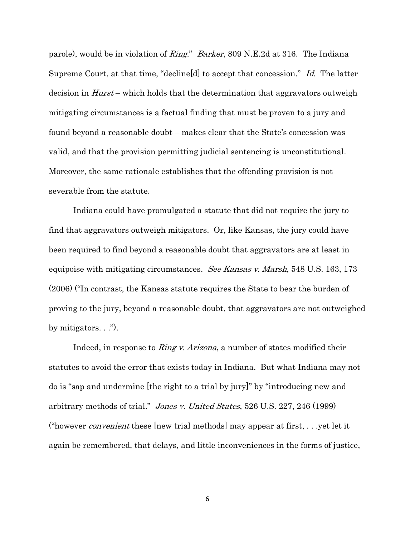parole), would be in violation of *Ring.*" *Barker*, 809 N.E. 2d at 316. The Indiana Supreme Court, at that time, "decline[d] to accept that concession." Id. The latter decision in  $Hurst$  – which holds that the determination that aggravators outweigh mitigating circumstances is a factual finding that must be proven to a jury and found beyond a reasonable doubt – makes clear that the State's concession was valid, and that the provision permitting judicial sentencing is unconstitutional. Moreover, the same rationale establishes that the offending provision is not severable from the statute.

Indiana could have promulgated a statute that did not require the jury to find that aggravators outweigh mitigators. Or, like Kansas, the jury could have been required to find beyond a reasonable doubt that aggravators are at least in equipoise with mitigating circumstances. *See Kansas v. Marsh*, 548 U.S. 163, 173 (2006) ("In contrast, the Kansas statute requires the State to bear the burden of proving to the jury, beyond a reasonable doubt, that aggravators are not outweighed by mitigators.  $\ldots$ ").

Indeed, in response to *Ring v. Arizona*, a number of states modified their statutes to avoid the error that exists today in Indiana. But what Indiana may not do is "sap and undermine [the right to a trial by jury]" by "introducing new and arbitrary methods of trial." Jones v. United States, 526 U.S. 227, 246 (1999) ("however *convenient* these [new trial methods] may appear at first, . . .yet let it again be remembered, that delays, and little inconveniences in the forms of justice,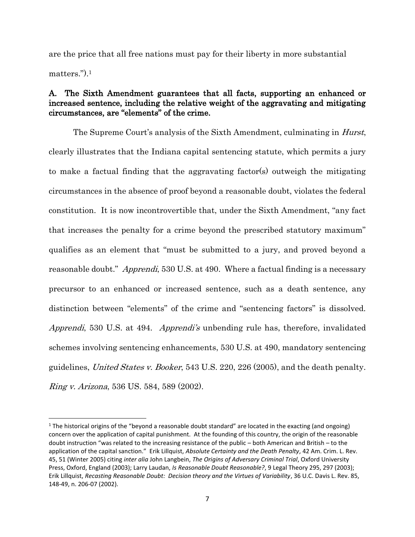are the price that all free nations must pay for their liberty in more substantial matters.").<sup>1</sup>

## A. The Sixth Amendment guarantees that all facts, supporting an enhanced or increased sentence, including the relative weight of the aggravating and mitigating circumstances, are "elements" of the crime.

The Supreme Court's analysis of the Sixth Amendment, culminating in *Hurst*, clearly illustrates that the Indiana capital sentencing statute, which permits a jury to make a factual finding that the aggravating factor(s) outweigh the mitigating circumstances in the absence of proof beyond a reasonable doubt, violates the federal constitution. It is now incontrovertible that, under the Sixth Amendment, "any fact that increases the penalty for a crime beyond the prescribed statutory maximum" qualifies as an element that "must be submitted to a jury, and proved beyond a reasonable doubt." Apprendi, 530 U.S. at 490. Where a factual finding is a necessary precursor to an enhanced or increased sentence, such as a death sentence, any distinction between "elements" of the crime and "sentencing factors" is dissolved. Apprendi, 530 U.S. at 494. Apprendi's unbending rule has, therefore, invalidated schemes involving sentencing enhancements, 530 U.S. at 490, mandatory sentencing guidelines, United States v. Booker, 543 U.S. 220, 226 (2005), and the death penalty. Ring v. Arizona, 536 US. 584, 589 (2002).

 $\overline{\phantom{a}}$ 

<sup>1</sup> The historical origins of the "beyond a reasonable doubt standard" are located in the exacting (and ongoing) concern over the application of capital punishment. At the founding of this country, the origin of the reasonable doubt instruction "was related to the increasing resistance of the public – both American and British – to the application of the capital sanction." Erik Lillquist, *Absolute Certainty and the Death Penalty*, 42 Am. Crim. L. Rev. 45, 51 (Winter 2005) citing *inter alia* John Langbein, *The Origins of Adversary Criminal Trial*, Oxford University Press, Oxford, England (2003); Larry Laudan, *Is Reasonable Doubt Reasonable?*, 9 Legal Theory 295, 297 (2003); Erik Lillquist, *Recasting Reasonable Doubt: Decision theory and the Virtues of Variability*, 36 U.C. Davis L. Rev. 85, 148-49, n. 206-07 (2002).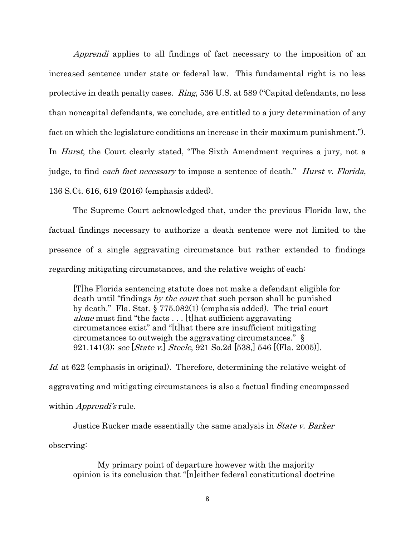Apprendi applies to all findings of fact necessary to the imposition of an increased sentence under state or federal law. This fundamental right is no less protective in death penalty cases. Ring, 536 U.S. at 589 ("Capital defendants, no less than noncapital defendants, we conclude, are entitled to a jury determination of any fact on which the legislature conditions an increase in their maximum punishment."). In *Hurst*, the Court clearly stated, "The Sixth Amendment requires a jury, not a judge, to find each fact necessary to impose a sentence of death." *Hurst v. Florida*, 136 S.Ct. 616, 619 (2016) (emphasis added).

The Supreme Court acknowledged that, under the previous Florida law, the factual findings necessary to authorize a death sentence were not limited to the presence of a single aggravating circumstance but rather extended to findings regarding mitigating circumstances, and the relative weight of each:

[T]he Florida sentencing statute does not make a defendant eligible for death until "findings by the court that such person shall be punished by death." Fla. Stat. § 775.082(1) (emphasis added). The trial court alone must find "the facts . . . [t]hat sufficient aggravating circumstances exist" and "[t]hat there are insufficient mitigating circumstances to outweigh the aggravating circumstances." § 921.141(3); see [State v.] Steele, 921 So.2d [538,] 546 [(Fla. 2005)].

Id. at 622 (emphasis in original). Therefore, determining the relative weight of aggravating and mitigating circumstances is also a factual finding encompassed within *Apprendi's* rule.

Justice Rucker made essentially the same analysis in *State v. Barker* observing:

My primary point of departure however with the majority opinion is its conclusion that "[n]either federal constitutional doctrine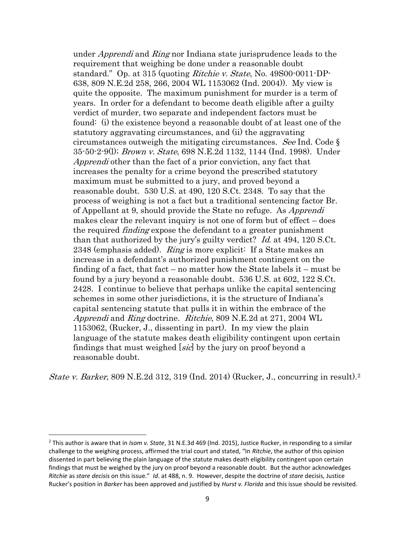under *Apprendi* and *Ring* nor Indiana state jurisprudence leads to the requirement that weighing be done under a reasonable doubt standard." Op. at 315 (quoting *Ritchie v. State*, No. 49800-0011-DP-638, 809 N.E.2d 258, 266, 2004 WL 1153062 (Ind. 2004)). My view is quite the opposite. The maximum punishment for murder is a term of years. In order for a defendant to become death eligible after a guilty verdict of murder, two separate and independent factors must be found: (i) the existence beyond a reasonable doubt of at least one of the statutory aggravating circumstances, and (ii) the aggravating circumstances outweigh the mitigating circumstances. See Ind. Code  $\S$ 35-50-2-9(l); Brown v. State, 698 N.E.2d 1132, 1144 (Ind. 1998). Under Apprendi other than the fact of a prior conviction, any fact that increases the penalty for a crime beyond the prescribed statutory maximum must be submitted to a jury, and proved beyond a reasonable doubt. 530 U.S. at 490, 120 S.Ct. 2348. To say that the process of weighing is not a fact but a traditional sentencing factor Br. of Appellant at 9, should provide the State no refuge. As Apprendi makes clear the relevant inquiry is not one of form but of effect – does the required *finding* expose the defendant to a greater punishment than that authorized by the jury's guilty verdict?  $Id$  at 494, 120 S.Ct. 2348 (emphasis added). Ring is more explicit: If a State makes an increase in a defendant's authorized punishment contingent on the finding of a fact, that fact – no matter how the State labels it – must be found by a jury beyond a reasonable doubt. 536 U.S. at 602, 122 S.Ct. 2428. I continue to believe that perhaps unlike the capital sentencing schemes in some other jurisdictions, it is the structure of Indiana's capital sentencing statute that pulls it in within the embrace of the Apprendi and Ring doctrine. Ritchie, 809 N.E.2d at 271, 2004 WL 1153062, (Rucker, J., dissenting in part). In my view the plain language of the statute makes death eligibility contingent upon certain findings that must weighed *sic* by the jury on proof beyond a reasonable doubt.

State v. Barker, 809 N.E.2d 312, 319 (Ind. 2014) (Rucker, J., concurring in result).<sup>2</sup>

 $\overline{a}$ 

<sup>2</sup> This author is aware that in *Isom v. State*, 31 N.E.3d 469 (Ind. 2015), Justice Rucker, in responding to a similar challenge to the weighing process, affirmed the trial court and stated, "In *Ritchie*, the author of this opinion dissented in part believing the plain language of the statute makes death eligibility contingent upon certain findings that must be weighed by the jury on proof beyond a reasonable doubt. But the author acknowledges *Ritchie* as *stare decisis* on this issue." *Id*. at 488, n. 9. However, despite the doctrine of *stare* decisis, Justice Rucker's position in *Barker* has been approved and justified by *Hurst v. Florida* and this issue should be revisited.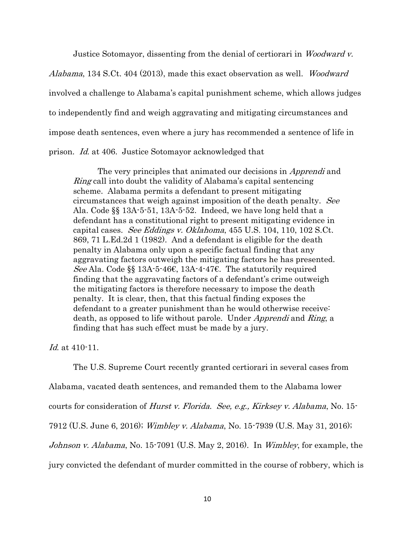Justice Sotomayor, dissenting from the denial of certiorari in Woodward v.

Alabama, 134 S.Ct. 404 (2013), made this exact observation as well. Woodward involved a challenge to Alabama's capital punishment scheme, which allows judges to independently find and weigh aggravating and mitigating circumstances and impose death sentences, even where a jury has recommended a sentence of life in prison. Id. at 406. Justice Sotomayor acknowledged that

The very principles that animated our decisions in *Apprendi* and Ring call into doubt the validity of Alabama's capital sentencing scheme. Alabama permits a defendant to present mitigating circumstances that weigh against imposition of the death penalty. See Ala. Code §§ 13A-5-51, 13A-5-52. Indeed, we have long held that a defendant has a constitutional right to present mitigating evidence in capital cases. See Eddings v. Oklahoma,  $455$  U.S.  $104$ ,  $110$ ,  $102$  S.Ct. 869, 71 L.Ed.2d 1 (1982). And a defendant is eligible for the death penalty in Alabama only upon a specific factual finding that any aggravating factors outweigh the mitigating factors he has presented. See Ala. Code §§ 13A-5-46€, 13A-4-47€. The statutorily required finding that the aggravating factors of a defendant's crime outweigh the mitigating factors is therefore necessary to impose the death penalty. It is clear, then, that this factual finding exposes the defendant to a greater punishment than he would otherwise receive: death, as opposed to life without parole. Under *Apprendi* and *Ring*, a finding that has such effect must be made by a jury.

Id. at 410-11.

The U.S. Supreme Court recently granted certiorari in several cases from

Alabama, vacated death sentences, and remanded them to the Alabama lower

courts for consideration of Hurst v. Florida. See, e.g., Kirksey v. Alabama, No. 15-

7912 (U.S. June 6, 2016); Wimbley v. Alabama, No. 15-7939 (U.S. May 31, 2016);

Johnson v. Alabama, No. 15-7091 (U.S. May 2, 2016). In Wimbley, for example, the

jury convicted the defendant of murder committed in the course of robbery, which is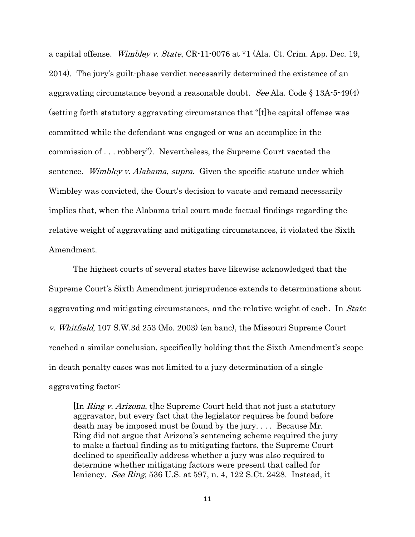a capital offense. Wimbley v. State, CR-11-0076 at \*1 (Ala. Ct. Crim. App. Dec. 19, 2014). The jury's guilt-phase verdict necessarily determined the existence of an aggravating circumstance beyond a reasonable doubt. See Ala. Code  $\S 13A-5-49(4)$ (setting forth statutory aggravating circumstance that "[t]he capital offense was committed while the defendant was engaged or was an accomplice in the commission of . . . robbery"). Nevertheless, the Supreme Court vacated the sentence. Wimbley v. Alabama, supra. Given the specific statute under which Wimbley was convicted, the Court's decision to vacate and remand necessarily implies that, when the Alabama trial court made factual findings regarding the relative weight of aggravating and mitigating circumstances, it violated the Sixth Amendment.

The highest courts of several states have likewise acknowledged that the Supreme Court's Sixth Amendment jurisprudence extends to determinations about aggravating and mitigating circumstances, and the relative weight of each. In *State* v. Whitfield, 107 S.W.3d 253 (Mo. 2003) (en banc), the Missouri Supreme Court reached a similar conclusion, specifically holding that the Sixth Amendment's scope in death penalty cases was not limited to a jury determination of a single aggravating factor:

In *Ring v. Arizona*, the Supreme Court held that not just a statutory aggravator, but every fact that the legislator requires be found before death may be imposed must be found by the jury. . . . Because Mr. Ring did not argue that Arizona's sentencing scheme required the jury to make a factual finding as to mitigating factors, the Supreme Court declined to specifically address whether a jury was also required to determine whether mitigating factors were present that called for leniency. *See Ring*, 536 U.S. at 597, n. 4, 122 S.Ct. 2428. Instead, it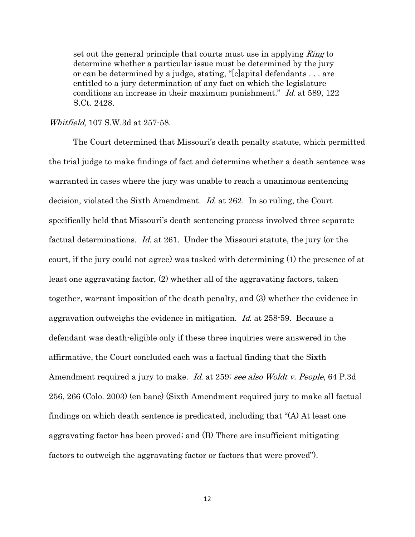set out the general principle that courts must use in applying *Ring* to determine whether a particular issue must be determined by the jury or can be determined by a judge, stating, "[c]apital defendants . . . are entitled to a jury determination of any fact on which the legislature conditions an increase in their maximum punishment." Id. at 589, 122 S.Ct. 2428.

### Whitfield, 107 S.W.3d at 257-58.

The Court determined that Missouri's death penalty statute, which permitted the trial judge to make findings of fact and determine whether a death sentence was warranted in cases where the jury was unable to reach a unanimous sentencing decision, violated the Sixth Amendment. Id. at 262. In so ruling, the Court specifically held that Missouri's death sentencing process involved three separate factual determinations. Id. at 261. Under the Missouri statute, the jury (or the court, if the jury could not agree) was tasked with determining (1) the presence of at least one aggravating factor, (2) whether all of the aggravating factors, taken together, warrant imposition of the death penalty, and (3) whether the evidence in aggravation outweighs the evidence in mitigation. Id. at 258-59. Because a defendant was death-eligible only if these three inquiries were answered in the affirmative, the Court concluded each was a factual finding that the Sixth Amendment required a jury to make. Id. at 259; see also Woldt v. People, 64 P.3d 256, 266 (Colo. 2003) (en banc) (Sixth Amendment required jury to make all factual findings on which death sentence is predicated, including that "(A) At least one aggravating factor has been proved; and (B) There are insufficient mitigating factors to outweigh the aggravating factor or factors that were proved").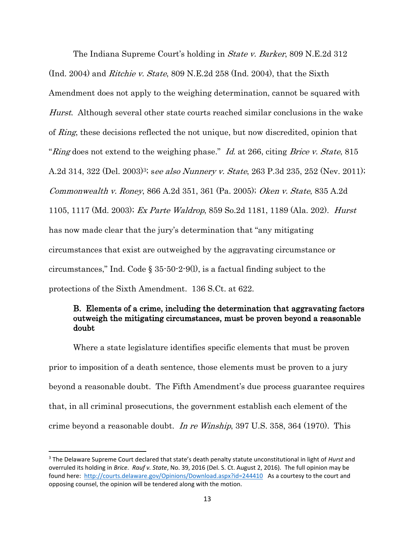The Indiana Supreme Court's holding in *State v. Barker*, 809 N.E.2d 312 (Ind. 2004) and *Ritchie v. State*, 809 N.E.2d 258 (Ind. 2004), that the Sixth Amendment does not apply to the weighing determination, cannot be squared with Hurst. Although several other state courts reached similar conclusions in the wake of Ring, these decisions reflected the not unique, but now discredited, opinion that "Ring does not extend to the weighing phase." Id. at 266, citing Brice v. State, 815 A.2d 314, 322 (Del. 2003)<sup>3</sup>; see also Nunnery v. State, 263 P.3d 235, 252 (Nev. 2011); Commonwealth v. Roney, 866 A.2d 351, 361 (Pa. 2005); Oken v. State, 835 A.2d 1105, 1117 (Md. 2003); Ex Parte Waldrop, 859 So.2d 1181, 1189 (Ala. 202). Hurst has now made clear that the jury's determination that "any mitigating circumstances that exist are outweighed by the aggravating circumstance or circumstances," Ind. Code § 35-50-2-9(l), is a factual finding subject to the protections of the Sixth Amendment. 136 S.Ct. at 622.

# B. Elements of a crime, including the determination that aggravating factors outweigh the mitigating circumstances, must be proven beyond a reasonable doubt

Where a state legislature identifies specific elements that must be proven prior to imposition of a death sentence, those elements must be proven to a jury beyond a reasonable doubt. The Fifth Amendment's due process guarantee requires that, in all criminal prosecutions, the government establish each element of the crime beyond a reasonable doubt. In re Winship, 397 U.S. 358, 364 (1970). This

 $\overline{a}$ 

<sup>3</sup> The Delaware Supreme Court declared that state's death penalty statute unconstitutional in light of *Hurst* and overruled its holding in *Brice*. *Rauf v. State*, No. 39, 2016 (Del. S. Ct. August 2, 2016). The full opinion may be found here: <http://courts.delaware.gov/Opinions/Download.aspx?id=244410>As a courtesy to the court and opposing counsel, the opinion will be tendered along with the motion.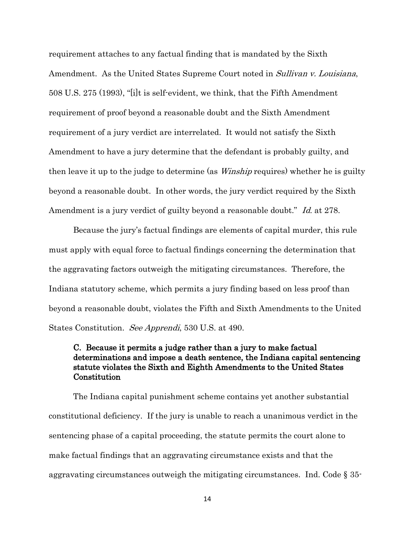requirement attaches to any factual finding that is mandated by the Sixth Amendment. As the United States Supreme Court noted in *Sullivan v. Louisiana*, 508 U.S. 275 (1993), "[i]t is self-evident, we think, that the Fifth Amendment requirement of proof beyond a reasonable doubt and the Sixth Amendment requirement of a jury verdict are interrelated. It would not satisfy the Sixth Amendment to have a jury determine that the defendant is probably guilty, and then leave it up to the judge to determine (as *Winship* requires) whether he is guilty beyond a reasonable doubt. In other words, the jury verdict required by the Sixth Amendment is a jury verdict of guilty beyond a reasonable doubt." Id. at 278.

Because the jury's factual findings are elements of capital murder, this rule must apply with equal force to factual findings concerning the determination that the aggravating factors outweigh the mitigating circumstances. Therefore, the Indiana statutory scheme, which permits a jury finding based on less proof than beyond a reasonable doubt, violates the Fifth and Sixth Amendments to the United States Constitution. See Apprendi, 530 U.S. at 490.

# C. Because it permits a judge rather than a jury to make factual determinations and impose a death sentence, the Indiana capital sentencing statute violates the Sixth and Eighth Amendments to the United States Constitution

The Indiana capital punishment scheme contains yet another substantial constitutional deficiency. If the jury is unable to reach a unanimous verdict in the sentencing phase of a capital proceeding, the statute permits the court alone to make factual findings that an aggravating circumstance exists and that the aggravating circumstances outweigh the mitigating circumstances. Ind. Code § 35-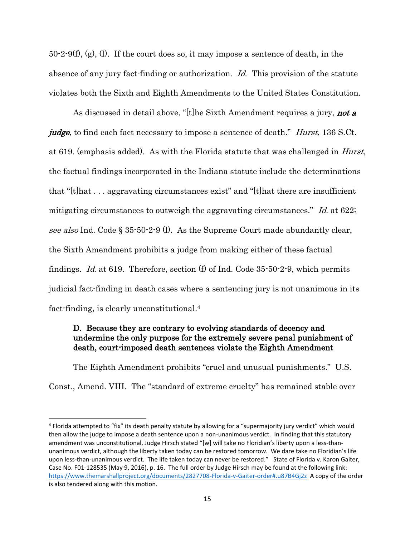50-2-9(f), (g), (l). If the court does so, it may impose a sentence of death, in the absence of any jury fact-finding or authorization. Id. This provision of the statute violates both the Sixth and Eighth Amendments to the United States Constitution.

As discussed in detail above, "[t]he Sixth Amendment requires a jury, **not a** *judge*, to find each fact necessary to impose a sentence of death." *Hurst*, 136 S.Ct. at 619. (emphasis added). As with the Florida statute that was challenged in Hurst, the factual findings incorporated in the Indiana statute include the determinations that "[t]hat . . . aggravating circumstances exist" and "[t]hat there are insufficient mitigating circumstances to outweigh the aggravating circumstances." Id. at 622; see also Ind. Code  $\S 35-50-2-9$  (1). As the Supreme Court made abundantly clear, the Sixth Amendment prohibits a judge from making either of these factual findings. *Id.* at 619. Therefore, section (f) of Ind. Code  $35-50-2-9$ , which permits judicial fact-finding in death cases where a sentencing jury is not unanimous in its fact-finding, is clearly unconstitutional.<sup>4</sup>

## D. Because they are contrary to evolving standards of decency and undermine the only purpose for the extremely severe penal punishment of death, court-imposed death sentences violate the Eighth Amendment

The Eighth Amendment prohibits "cruel and unusual punishments." U.S. Const., Amend. VIII. The "standard of extreme cruelty" has remained stable over

 $\overline{\phantom{a}}$ 

<sup>&</sup>lt;sup>4</sup> Florida attempted to "fix" its death penalty statute by allowing for a "supermajority jury verdict" which would then allow the judge to impose a death sentence upon a non-unanimous verdict. In finding that this statutory amendment was unconstitutional, Judge Hirsch stated "[w] will take no Floridian's liberty upon a less-thanunanimous verdict, although the liberty taken today can be restored tomorrow. We dare take no Floridian's life upon less-than-unanimous verdict. The life taken today can never be restored." State of Florida v. Karon Gaiter, Case No. F01-128535 (May 9, 2016), p. 16. The full order by Judge Hirsch may be found at the following link: <https://www.themarshallproject.org/documents/2827708-Florida-v-Gaiter-order#.u87B4Gj2z>A copy of the order is also tendered along with this motion.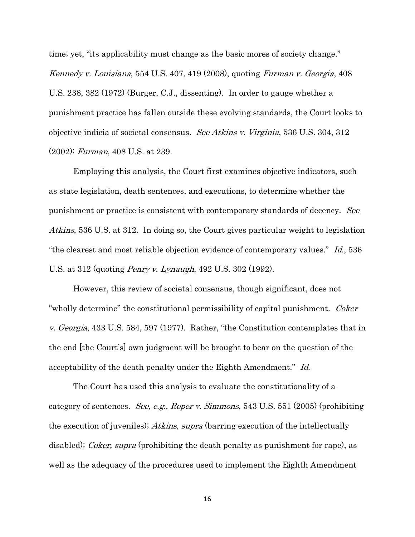time; yet, "its applicability must change as the basic mores of society change." Kennedy v. Louisiana, 554 U.S. 407, 419 (2008), quoting Furman v. Georgia, 408 U.S. 238, 382 (1972) (Burger, C.J., dissenting). In order to gauge whether a punishment practice has fallen outside these evolving standards, the Court looks to objective indicia of societal consensus. See Atkins v. Virginia, 536 U.S. 304, 312 (2002); Furman, 408 U.S. at 239.

Employing this analysis, the Court first examines objective indicators, such as state legislation, death sentences, and executions, to determine whether the punishment or practice is consistent with contemporary standards of decency. See Atkins, 536 U.S. at 312. In doing so, the Court gives particular weight to legislation "the clearest and most reliable objection evidence of contemporary values." Id., 536 U.S. at 312 (quoting Penry v. Lynaugh, 492 U.S. 302 (1992).

However, this review of societal consensus, though significant, does not "wholly determine" the constitutional permissibility of capital punishment. Coker v. Georgia, 433 U.S. 584, 597 (1977). Rather, "the Constitution contemplates that in the end [the Court's] own judgment will be brought to bear on the question of the acceptability of the death penalty under the Eighth Amendment." Id.

The Court has used this analysis to evaluate the constitutionality of a category of sentences. See, e.g., Roper v. Simmons, 543 U.S. 551 (2005) (prohibiting the execution of juveniles); Atkins, supra (barring execution of the intellectually disabled); *Coker, supra* (prohibiting the death penalty as punishment for rape), as well as the adequacy of the procedures used to implement the Eighth Amendment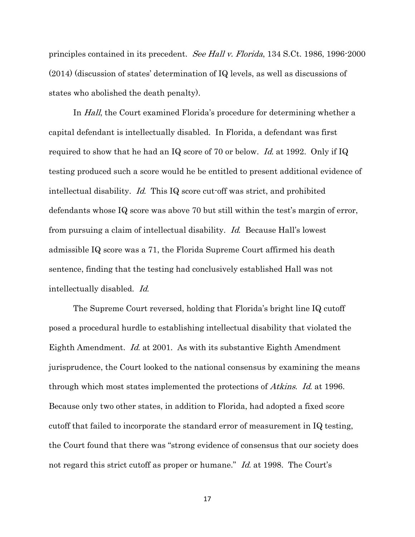principles contained in its precedent. See Hall v. Florida, 134 S.Ct. 1986, 1996-2000 (2014) (discussion of states' determination of IQ levels, as well as discussions of states who abolished the death penalty).

In *Hall*, the Court examined Florida's procedure for determining whether a capital defendant is intellectually disabled. In Florida, a defendant was first required to show that he had an IQ score of 70 or below. Id. at 1992. Only if IQ testing produced such a score would he be entitled to present additional evidence of intellectual disability. Id. This IQ score cut-off was strict, and prohibited defendants whose IQ score was above 70 but still within the test's margin of error, from pursuing a claim of intellectual disability. Id. Because Hall's lowest admissible IQ score was a 71, the Florida Supreme Court affirmed his death sentence, finding that the testing had conclusively established Hall was not intellectually disabled. Id.

The Supreme Court reversed, holding that Florida's bright line IQ cutoff posed a procedural hurdle to establishing intellectual disability that violated the Eighth Amendment. Id. at 2001. As with its substantive Eighth Amendment jurisprudence, the Court looked to the national consensus by examining the means through which most states implemented the protections of Atkins. Id. at 1996. Because only two other states, in addition to Florida, had adopted a fixed score cutoff that failed to incorporate the standard error of measurement in IQ testing, the Court found that there was "strong evidence of consensus that our society does not regard this strict cutoff as proper or humane." Id. at 1998. The Court's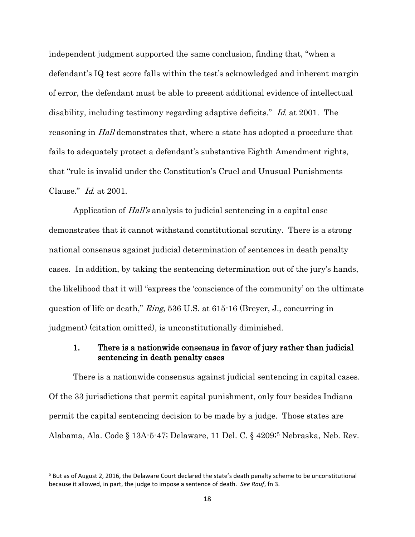independent judgment supported the same conclusion, finding that, "when a defendant's IQ test score falls within the test's acknowledged and inherent margin of error, the defendant must be able to present additional evidence of intellectual disability, including testimony regarding adaptive deficits." Id. at 2001. The reasoning in *Hall* demonstrates that, where a state has adopted a procedure that fails to adequately protect a defendant's substantive Eighth Amendment rights, that "rule is invalid under the Constitution's Cruel and Unusual Punishments Clause." Id. at 2001.

Application of Hall's analysis to judicial sentencing in a capital case demonstrates that it cannot withstand constitutional scrutiny. There is a strong national consensus against judicial determination of sentences in death penalty cases. In addition, by taking the sentencing determination out of the jury's hands, the likelihood that it will "express the 'conscience of the community' on the ultimate question of life or death," Ring, 536 U.S. at 615-16 (Breyer, J., concurring in judgment) (citation omitted), is unconstitutionally diminished.

## 1. There is a nationwide consensus in favor of jury rather than judicial sentencing in death penalty cases

There is a nationwide consensus against judicial sentencing in capital cases. Of the 33 jurisdictions that permit capital punishment, only four besides Indiana permit the capital sentencing decision to be made by a judge. Those states are Alabama, Ala. Code § 13A-5-47; Delaware, 11 Del. C. § 4209;<sup>5</sup> Nebraska, Neb. Rev.

l

<sup>&</sup>lt;sup>5</sup> But as of August 2, 2016, the Delaware Court declared the state's death penalty scheme to be unconstitutional because it allowed, in part, the judge to impose a sentence of death. *See Rauf*, fn 3.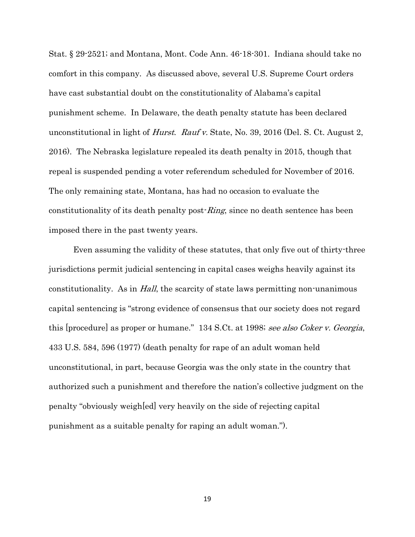Stat. § 29-2521; and Montana, Mont. Code Ann. 46-18-301. Indiana should take no comfort in this company. As discussed above, several U.S. Supreme Court orders have cast substantial doubt on the constitutionality of Alabama's capital punishment scheme. In Delaware, the death penalty statute has been declared unconstitutional in light of *Hurst. Rauf v.* State, No. 39, 2016 (Del. S. Ct. August 2, 2016). The Nebraska legislature repealed its death penalty in 2015, though that repeal is suspended pending a voter referendum scheduled for November of 2016. The only remaining state, Montana, has had no occasion to evaluate the constitutionality of its death penalty post-*Ring*, since no death sentence has been imposed there in the past twenty years.

Even assuming the validity of these statutes, that only five out of thirty-three jurisdictions permit judicial sentencing in capital cases weighs heavily against its constitutionality. As in *Hall*, the scarcity of state laws permitting non-unanimous capital sentencing is "strong evidence of consensus that our society does not regard this [procedure] as proper or humane." 134 S.Ct. at 1998; see also Coker v. Georgia, 433 U.S. 584, 596 (1977) (death penalty for rape of an adult woman held unconstitutional, in part, because Georgia was the only state in the country that authorized such a punishment and therefore the nation's collective judgment on the penalty "obviously weigh[ed] very heavily on the side of rejecting capital punishment as a suitable penalty for raping an adult woman.").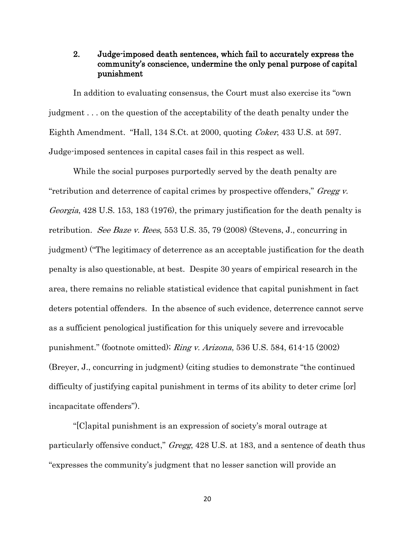## 2. Judge-imposed death sentences, which fail to accurately express the community's conscience, undermine the only penal purpose of capital punishment

In addition to evaluating consensus, the Court must also exercise its "own judgment . . . on the question of the acceptability of the death penalty under the Eighth Amendment. "Hall, 134 S.Ct. at 2000, quoting Coker, 433 U.S. at 597. Judge-imposed sentences in capital cases fail in this respect as well.

While the social purposes purportedly served by the death penalty are "retribution and deterrence of capital crimes by prospective offenders," Gregg v. Georgia, 428 U.S. 153, 183 (1976), the primary justification for the death penalty is retribution. See Baze v. Rees, 553 U.S. 35, 79 (2008) (Stevens, J., concurring in judgment) ("The legitimacy of deterrence as an acceptable justification for the death penalty is also questionable, at best. Despite 30 years of empirical research in the area, there remains no reliable statistical evidence that capital punishment in fact deters potential offenders. In the absence of such evidence, deterrence cannot serve as a sufficient penological justification for this uniquely severe and irrevocable punishment." (footnote omitted); Ring v. Arizona, 536 U.S. 584, 614-15 (2002) (Breyer, J., concurring in judgment) (citing studies to demonstrate "the continued difficulty of justifying capital punishment in terms of its ability to deter crime [or] incapacitate offenders").

"[C]apital punishment is an expression of society's moral outrage at particularly offensive conduct," Gregg, 428 U.S. at 183, and a sentence of death thus "expresses the community's judgment that no lesser sanction will provide an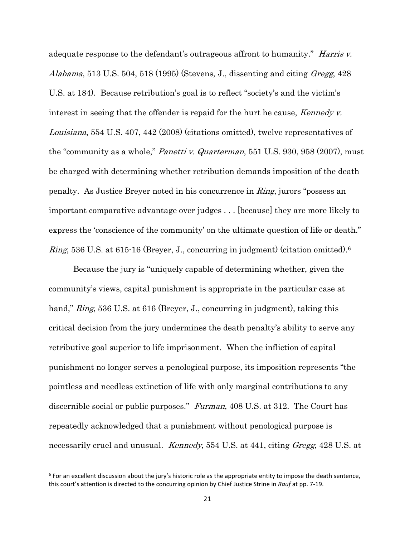adequate response to the defendant's outrageous affront to humanity." Harris v. Alabama, 513 U.S. 504, 518 (1995) (Stevens, J., dissenting and citing Gregg, 428 U.S. at 184). Because retribution's goal is to reflect "society's and the victim's interest in seeing that the offender is repaid for the hurt he cause, Kennedy v. Louisiana, 554 U.S. 407, 442 (2008) (citations omitted), twelve representatives of the "community as a whole," *Panetti v. Quarterman*, 551 U.S. 930, 958 (2007), must be charged with determining whether retribution demands imposition of the death penalty. As Justice Breyer noted in his concurrence in Ring, jurors "possess an important comparative advantage over judges . . . [because] they are more likely to express the 'conscience of the community' on the ultimate question of life or death." Ring, 536 U.S. at 615-16 (Breyer, J., concurring in judgment) (citation omitted).<sup>6</sup>

Because the jury is "uniquely capable of determining whether, given the community's views, capital punishment is appropriate in the particular case at hand," *Ring*, 536 U.S. at 616 (Breyer, J., concurring in judgment), taking this critical decision from the jury undermines the death penalty's ability to serve any retributive goal superior to life imprisonment. When the infliction of capital punishment no longer serves a penological purpose, its imposition represents "the pointless and needless extinction of life with only marginal contributions to any discernible social or public purposes." Furman, 408 U.S. at 312. The Court has repeatedly acknowledged that a punishment without penological purpose is necessarily cruel and unusual. *Kennedy*, 554 U.S. at 441, citing *Gregg*, 428 U.S. at

l

 $^6$  For an excellent discussion about the jury's historic role as the appropriate entity to impose the death sentence, this court's attention is directed to the concurring opinion by Chief Justice Strine in *Rauf* at pp. 7-19.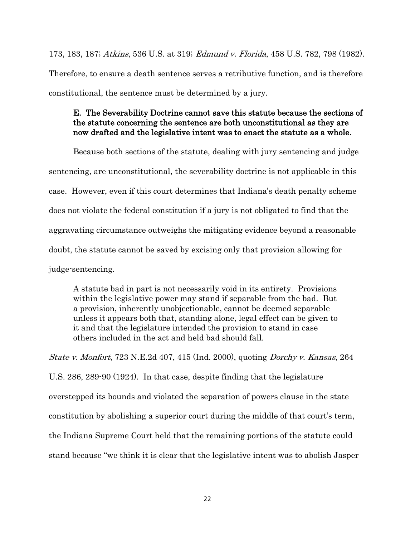173, 183, 187; Atkins, 536 U.S. at 319; Edmund v. Florida, 458 U.S. 782, 798 (1982). Therefore, to ensure a death sentence serves a retributive function, and is therefore constitutional, the sentence must be determined by a jury.

## E. The Severability Doctrine cannot save this statute because the sections of the statute concerning the sentence are both unconstitutional as they are now drafted and the legislative intent was to enact the statute as a whole.

Because both sections of the statute, dealing with jury sentencing and judge sentencing, are unconstitutional, the severability doctrine is not applicable in this case. However, even if this court determines that Indiana's death penalty scheme does not violate the federal constitution if a jury is not obligated to find that the aggravating circumstance outweighs the mitigating evidence beyond a reasonable doubt, the statute cannot be saved by excising only that provision allowing for judge-sentencing.

A statute bad in part is not necessarily void in its entirety. Provisions within the legislative power may stand if separable from the bad. But a provision, inherently unobjectionable, cannot be deemed separable unless it appears both that, standing alone, legal effect can be given to it and that the legislature intended the provision to stand in case others included in the act and held bad should fall.

State v. Monfort, 723 N.E.2d 407, 415 (Ind. 2000), quoting Dorchy v. Kansas, 264 U.S. 286, 289-90 (1924). In that case, despite finding that the legislature overstepped its bounds and violated the separation of powers clause in the state constitution by abolishing a superior court during the middle of that court's term, the Indiana Supreme Court held that the remaining portions of the statute could stand because "we think it is clear that the legislative intent was to abolish Jasper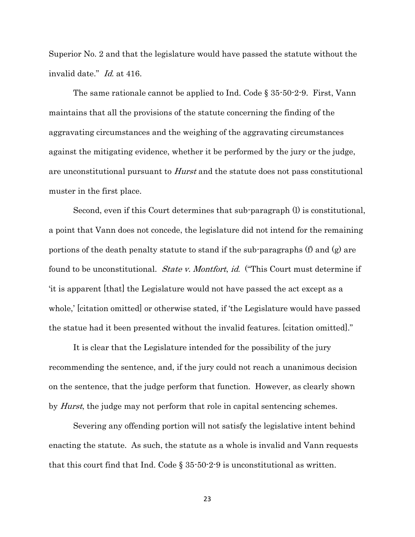Superior No. 2 and that the legislature would have passed the statute without the invalid date." Id. at 416.

The same rationale cannot be applied to Ind. Code § 35-50-2-9. First, Vann maintains that all the provisions of the statute concerning the finding of the aggravating circumstances and the weighing of the aggravating circumstances against the mitigating evidence, whether it be performed by the jury or the judge, are unconstitutional pursuant to Hurst and the statute does not pass constitutional muster in the first place.

Second, even if this Court determines that sub-paragraph (l) is constitutional, a point that Vann does not concede, the legislature did not intend for the remaining portions of the death penalty statute to stand if the sub-paragraphs (f) and (g) are found to be unconstitutional. State v. Montfort, id. ("This Court must determine if 'it is apparent [that] the Legislature would not have passed the act except as a whole,' [citation omitted] or otherwise stated, if 'the Legislature would have passed the statue had it been presented without the invalid features. [citation omitted]."

It is clear that the Legislature intended for the possibility of the jury recommending the sentence, and, if the jury could not reach a unanimous decision on the sentence, that the judge perform that function. However, as clearly shown by *Hurst*, the judge may not perform that role in capital sentencing schemes.

Severing any offending portion will not satisfy the legislative intent behind enacting the statute. As such, the statute as a whole is invalid and Vann requests that this court find that Ind. Code  $\S 35 \cdot 50 \cdot 2 \cdot 9$  is unconstitutional as written.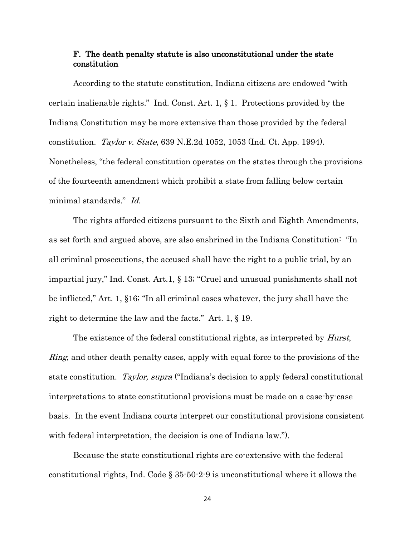### F. The death penalty statute is also unconstitutional under the state constitution

According to the statute constitution, Indiana citizens are endowed "with certain inalienable rights." Ind. Const. Art. 1, § 1. Protections provided by the Indiana Constitution may be more extensive than those provided by the federal constitution. Taylor v. State, 639 N.E.2d 1052, 1053 (Ind. Ct. App. 1994). Nonetheless, "the federal constitution operates on the states through the provisions of the fourteenth amendment which prohibit a state from falling below certain minimal standards." Id.

The rights afforded citizens pursuant to the Sixth and Eighth Amendments, as set forth and argued above, are also enshrined in the Indiana Constitution: "In all criminal prosecutions, the accused shall have the right to a public trial, by an impartial jury," Ind. Const. Art.1, § 13; "Cruel and unusual punishments shall not be inflicted," Art. 1, §16; "In all criminal cases whatever, the jury shall have the right to determine the law and the facts." Art. 1, § 19.

The existence of the federal constitutional rights, as interpreted by *Hurst*, *Ring*, and other death penalty cases, apply with equal force to the provisions of the state constitution. Taylor, supra ("Indiana's decision to apply federal constitutional interpretations to state constitutional provisions must be made on a case-by-case basis. In the event Indiana courts interpret our constitutional provisions consistent with federal interpretation, the decision is one of Indiana law.").

Because the state constitutional rights are co-extensive with the federal constitutional rights, Ind. Code § 35-50-2-9 is unconstitutional where it allows the